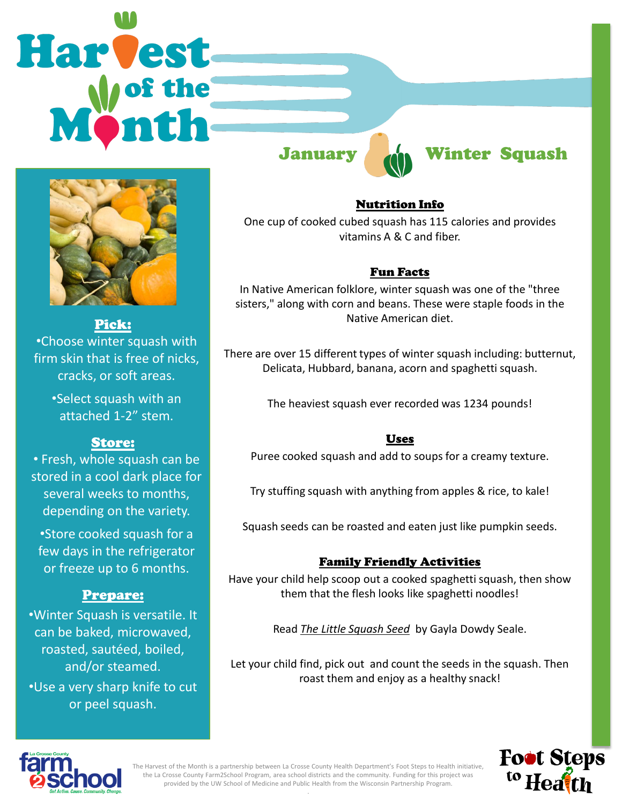# **Harvest**



Pick: •Choose winter squash with firm skin that is free of nicks, cracks, or soft areas.

> •Select squash with an attached 1-2" stem.

# Store:

• Fresh, whole squash can be stored in a cool dark place for several weeks to months, depending on the variety.

•Store cooked squash for a few days in the refrigerator or freeze up to 6 months.

# Prepare:

•Winter Squash is versatile. It can be baked, microwaved, roasted, sautéed, boiled, and/or steamed. •Use a very sharp knife to cut or peel squash.

# January **Minter Squash**

# Nutrition Info

One cup of cooked cubed squash has 115 calories and provides vitamins A & C and fiber.

# Fun Facts

In Native American folklore, winter squash was one of the "three sisters," along with corn and beans. These were staple foods in the Native American diet.

There are over 15 different types of winter squash including: butternut, Delicata, Hubbard, banana, acorn and spaghetti squash.

The heaviest squash ever recorded was 1234 pounds!

# Uses

Puree cooked squash and add to soups for a creamy texture.

Try stuffing squash with anything from apples & rice, to kale!

Squash seeds can be roasted and eaten just like pumpkin seeds.

# Family Friendly Activities

Have your child help scoop out a cooked spaghetti squash, then show them that the flesh looks like spaghetti noodles!

Read *The Little Squash Seed* by Gayla Dowdy Seale.

Let your child find, pick out and count the seeds in the squash. Then roast them and enjoy as a healthy snack!